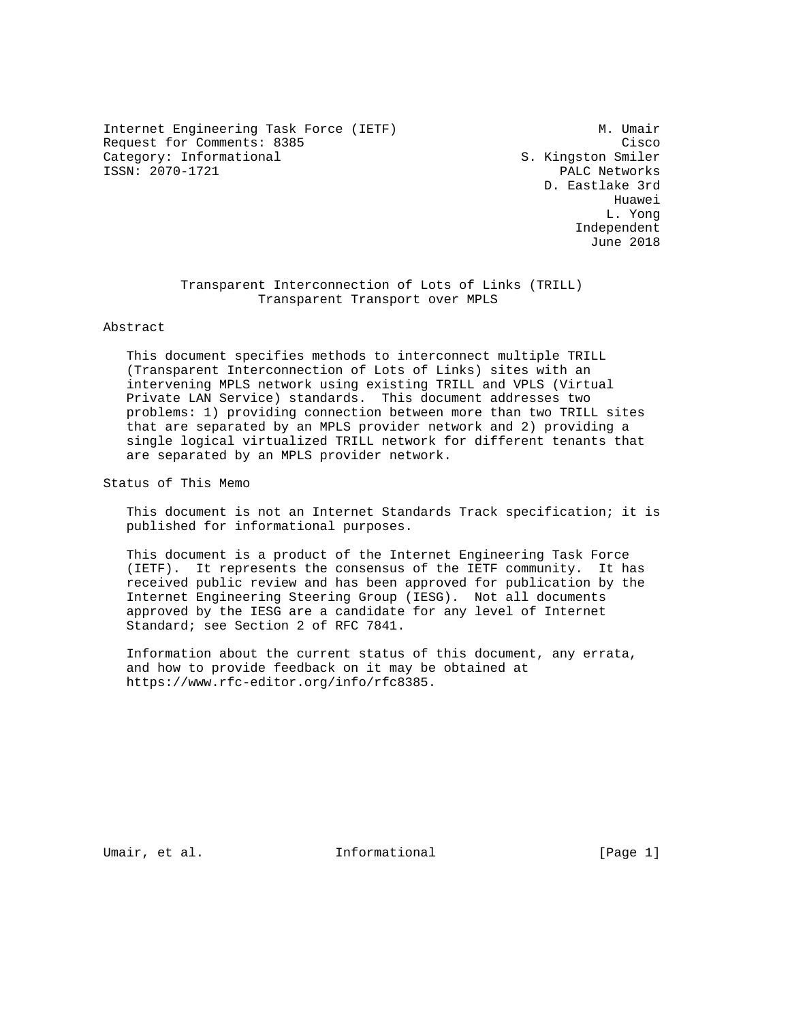Internet Engineering Task Force (IETF) M. Umair Request for Comments: 8385 Cisco<br>Category: Informational Category: Informational S. Kingston Smiler Category: Informational ISSN: 2070-1721 PALC Networks

 D. Eastlake 3rd he distributed by the control of the control of the control of the control of the control of the control of the control of the control of the control of the control of the control of the control of the control of the contr L. Yong Independent June 2018

> Transparent Interconnection of Lots of Links (TRILL) Transparent Transport over MPLS

#### Abstract

 This document specifies methods to interconnect multiple TRILL (Transparent Interconnection of Lots of Links) sites with an intervening MPLS network using existing TRILL and VPLS (Virtual Private LAN Service) standards. This document addresses two problems: 1) providing connection between more than two TRILL sites that are separated by an MPLS provider network and 2) providing a single logical virtualized TRILL network for different tenants that are separated by an MPLS provider network.

Status of This Memo

 This document is not an Internet Standards Track specification; it is published for informational purposes.

 This document is a product of the Internet Engineering Task Force (IETF). It represents the consensus of the IETF community. It has received public review and has been approved for publication by the Internet Engineering Steering Group (IESG). Not all documents approved by the IESG are a candidate for any level of Internet Standard; see Section 2 of RFC 7841.

 Information about the current status of this document, any errata, and how to provide feedback on it may be obtained at https://www.rfc-editor.org/info/rfc8385.

Umair, et al. Informational [Page 1]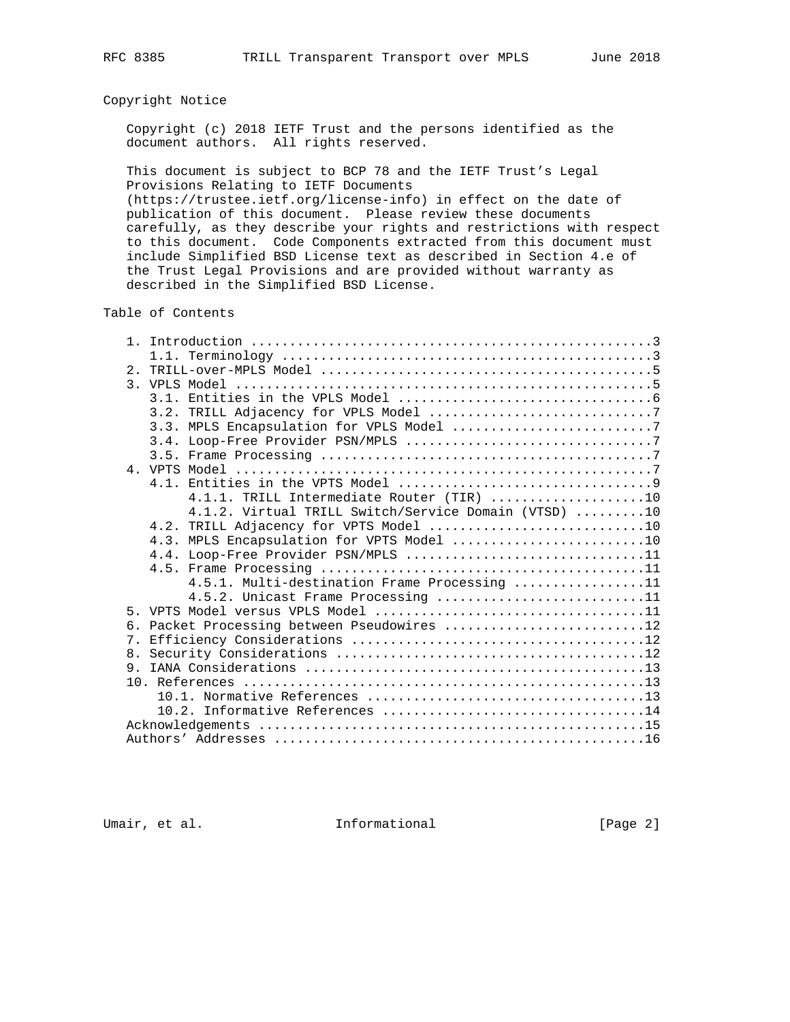### Copyright Notice

 Copyright (c) 2018 IETF Trust and the persons identified as the document authors. All rights reserved.

 This document is subject to BCP 78 and the IETF Trust's Legal Provisions Relating to IETF Documents

 (https://trustee.ietf.org/license-info) in effect on the date of publication of this document. Please review these documents carefully, as they describe your rights and restrictions with respect to this document. Code Components extracted from this document must include Simplified BSD License text as described in Section 4.e of the Trust Legal Provisions and are provided without warranty as described in the Simplified BSD License.

# Table of Contents

|    | 4.1.1. TRILL Intermediate Router (TIR) 10            |  |
|----|------------------------------------------------------|--|
|    | 4.1.2. Virtual TRILL Switch/Service Domain (VTSD) 10 |  |
|    |                                                      |  |
|    | 4.3. MPLS Encapsulation for VPTS Model 10            |  |
|    | 4.4. Loop-Free Provider PSN/MPLS 11                  |  |
|    |                                                      |  |
|    | 4.5.1. Multi-destination Frame Processing 11         |  |
|    | 4.5.2. Unicast Frame Processing 11                   |  |
|    |                                                      |  |
|    | 6. Packet Processing between Pseudowires 12          |  |
| 7. |                                                      |  |
|    |                                                      |  |
|    |                                                      |  |
|    |                                                      |  |
|    |                                                      |  |
|    |                                                      |  |
|    |                                                      |  |
|    |                                                      |  |

Umair, et al. 1nformational 1999 [Page 2]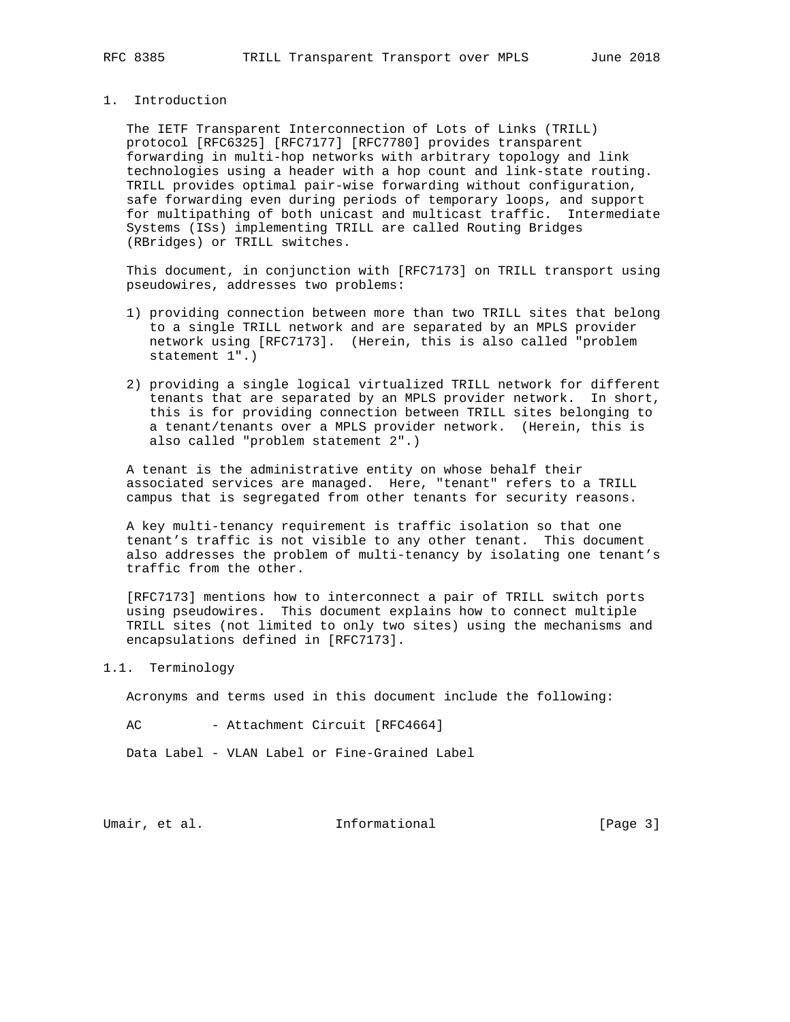# 1. Introduction

 The IETF Transparent Interconnection of Lots of Links (TRILL) protocol [RFC6325] [RFC7177] [RFC7780] provides transparent forwarding in multi-hop networks with arbitrary topology and link technologies using a header with a hop count and link-state routing. TRILL provides optimal pair-wise forwarding without configuration, safe forwarding even during periods of temporary loops, and support for multipathing of both unicast and multicast traffic. Intermediate Systems (ISs) implementing TRILL are called Routing Bridges (RBridges) or TRILL switches.

 This document, in conjunction with [RFC7173] on TRILL transport using pseudowires, addresses two problems:

- 1) providing connection between more than two TRILL sites that belong to a single TRILL network and are separated by an MPLS provider network using [RFC7173]. (Herein, this is also called "problem statement 1".)
- 2) providing a single logical virtualized TRILL network for different tenants that are separated by an MPLS provider network. In short, this is for providing connection between TRILL sites belonging to a tenant/tenants over a MPLS provider network. (Herein, this is also called "problem statement 2".)

 A tenant is the administrative entity on whose behalf their associated services are managed. Here, "tenant" refers to a TRILL campus that is segregated from other tenants for security reasons.

 A key multi-tenancy requirement is traffic isolation so that one tenant's traffic is not visible to any other tenant. This document also addresses the problem of multi-tenancy by isolating one tenant's traffic from the other.

 [RFC7173] mentions how to interconnect a pair of TRILL switch ports using pseudowires. This document explains how to connect multiple TRILL sites (not limited to only two sites) using the mechanisms and encapsulations defined in [RFC7173].

1.1. Terminology

Acronyms and terms used in this document include the following:

AC - Attachment Circuit [RFC4664]

Data Label - VLAN Label or Fine-Grained Label

Umair, et al. 100 mm informational 100 mm informational [Page 3]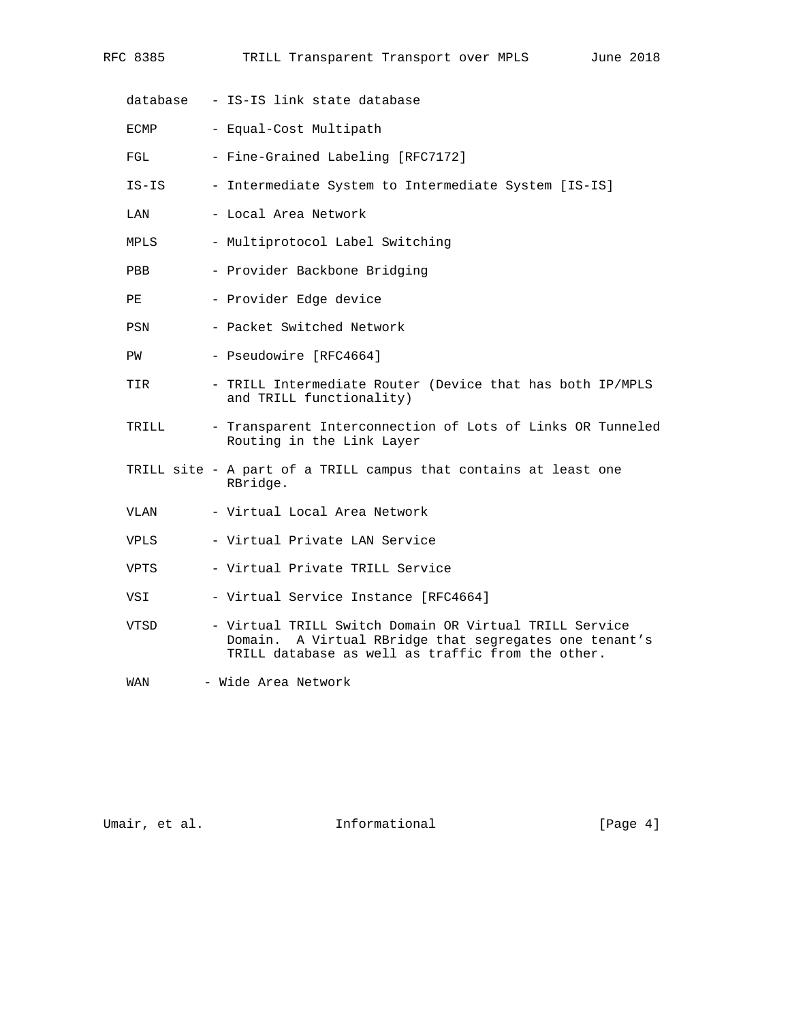| database    | - IS-IS link state database                                                                                                                                              |
|-------------|--------------------------------------------------------------------------------------------------------------------------------------------------------------------------|
| ECMP        | - Equal-Cost Multipath                                                                                                                                                   |
| FGL         | - Fine-Grained Labeling [RFC7172]                                                                                                                                        |
| IS-IS       | - Intermediate System to Intermediate System [IS-IS]                                                                                                                     |
| LAN         | - Local Area Network                                                                                                                                                     |
| MPLS        | - Multiprotocol Label Switching                                                                                                                                          |
| PBB         | - Provider Backbone Bridging                                                                                                                                             |
| PE          | - Provider Edge device                                                                                                                                                   |
| PSN         | - Packet Switched Network                                                                                                                                                |
| PW          | - Pseudowire [RFC4664]                                                                                                                                                   |
| TIR         | - TRILL Intermediate Router (Device that has both IP/MPLS<br>and TRILL functionality)                                                                                    |
| TRILL       | - Transparent Interconnection of Lots of Links OR Tunneled<br>Routing in the Link Layer                                                                                  |
|             | TRILL site - A part of a TRILL campus that contains at least one<br>RBridge.                                                                                             |
| VLAN        | - Virtual Local Area Network                                                                                                                                             |
| <b>VPLS</b> | - Virtual Private LAN Service                                                                                                                                            |
| VPTS        | - Virtual Private TRILL Service                                                                                                                                          |
| VSI         | - Virtual Service Instance [RFC4664]                                                                                                                                     |
| VTSD        | - Virtual TRILL Switch Domain OR Virtual TRILL Service<br>A Virtual RBridge that segregates one tenant's<br>Domain.<br>TRILL database as well as traffic from the other. |
| WAN         | - Wide Area Network                                                                                                                                                      |

RFC 8385 TRILL Transparent Transport over MPLS June 2018

Umair, et al. 1nformational 1999 [Page 4]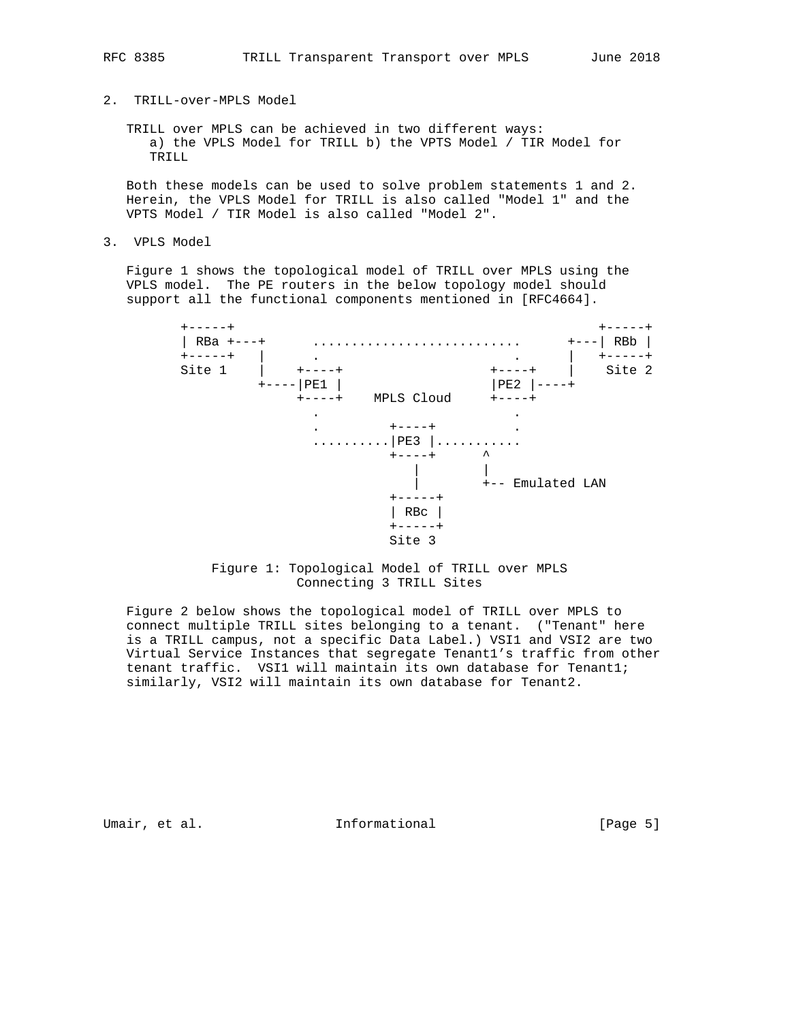# RFC 8385 TRILL Transparent Transport over MPLS June 2018

# 2. TRILL-over-MPLS Model

 TRILL over MPLS can be achieved in two different ways: a) the VPLS Model for TRILL b) the VPTS Model / TIR Model for TRILL

 Both these models can be used to solve problem statements 1 and 2. Herein, the VPLS Model for TRILL is also called "Model 1" and the VPTS Model / TIR Model is also called "Model 2".

3. VPLS Model

 Figure 1 shows the topological model of TRILL over MPLS using the VPLS model. The PE routers in the below topology model should support all the functional components mentioned in [RFC4664].



# Figure 1: Topological Model of TRILL over MPLS Connecting 3 TRILL Sites

 Figure 2 below shows the topological model of TRILL over MPLS to connect multiple TRILL sites belonging to a tenant. ("Tenant" here is a TRILL campus, not a specific Data Label.) VSI1 and VSI2 are two Virtual Service Instances that segregate Tenant1's traffic from other tenant traffic. VSI1 will maintain its own database for Tenant1; similarly, VSI2 will maintain its own database for Tenant2.

Umair, et al. 100 mm informational 100 mm informational [Page 5]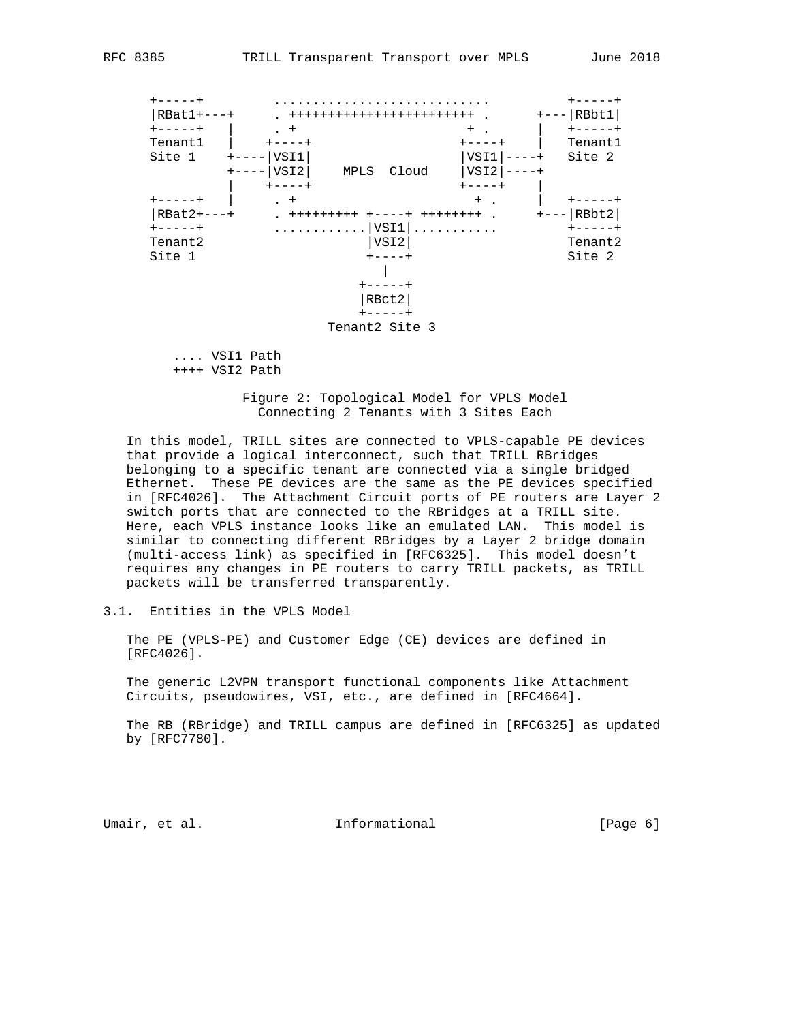| $RBat1+$<br>Tenantl                      | $+$                             |                                                               | ++++++++++++++++++++++++<br>$\sim$<br>$^{+}$ | RBbt1<br>Tenant1           |
|------------------------------------------|---------------------------------|---------------------------------------------------------------|----------------------------------------------|----------------------------|
| Site 1                                   | VSI1<br>VSI2                    | Cloud<br>MPLS                                                 | VSI1<br>VSI <sub>2</sub>                     | Site 2                     |
| キーーーーーキ<br>$RBat2+$<br>Tenant2<br>Site 1 | $+$<br>$+ + + + + + + + +$<br>. | ----+<br> VSI1 <br>VSI2<br>RBct2<br>$---++$<br>Tenant2 Site 3 | $+$ .<br>$+ - - -$<br>$++++++$ .<br>.        | RBbt2<br>Tenant2<br>Site 2 |

 .... VSI1 Path ++++ VSI2 Path

> Figure 2: Topological Model for VPLS Model Connecting 2 Tenants with 3 Sites Each

 In this model, TRILL sites are connected to VPLS-capable PE devices that provide a logical interconnect, such that TRILL RBridges belonging to a specific tenant are connected via a single bridged Ethernet. These PE devices are the same as the PE devices specified in [RFC4026]. The Attachment Circuit ports of PE routers are Layer 2 switch ports that are connected to the RBridges at a TRILL site. Here, each VPLS instance looks like an emulated LAN. This model is similar to connecting different RBridges by a Layer 2 bridge domain (multi-access link) as specified in [RFC6325]. This model doesn't requires any changes in PE routers to carry TRILL packets, as TRILL packets will be transferred transparently.

3.1. Entities in the VPLS Model

 The PE (VPLS-PE) and Customer Edge (CE) devices are defined in [RFC4026].

 The generic L2VPN transport functional components like Attachment Circuits, pseudowires, VSI, etc., are defined in [RFC4664].

 The RB (RBridge) and TRILL campus are defined in [RFC6325] as updated by [RFC7780].

Umair, et al. 100 mm informational 100 mm informational [Page 6]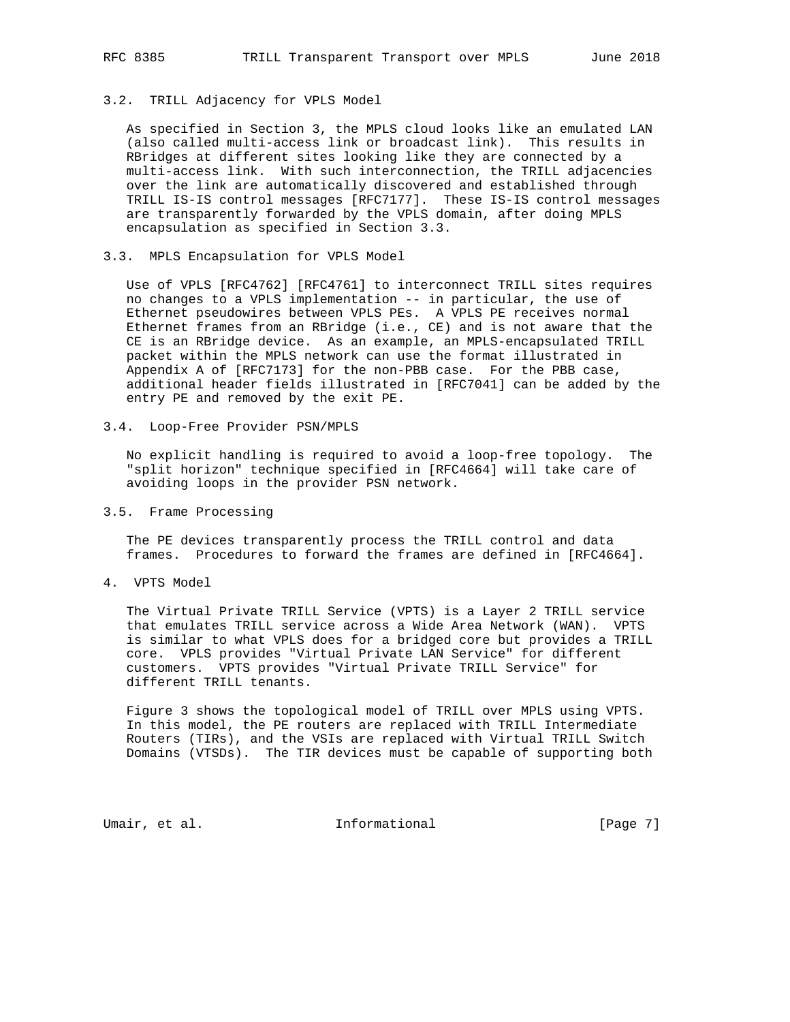# 3.2. TRILL Adjacency for VPLS Model

 As specified in Section 3, the MPLS cloud looks like an emulated LAN (also called multi-access link or broadcast link). This results in RBridges at different sites looking like they are connected by a multi-access link. With such interconnection, the TRILL adjacencies over the link are automatically discovered and established through TRILL IS-IS control messages [RFC7177]. These IS-IS control messages are transparently forwarded by the VPLS domain, after doing MPLS encapsulation as specified in Section 3.3.

### 3.3. MPLS Encapsulation for VPLS Model

 Use of VPLS [RFC4762] [RFC4761] to interconnect TRILL sites requires no changes to a VPLS implementation -- in particular, the use of Ethernet pseudowires between VPLS PEs. A VPLS PE receives normal Ethernet frames from an RBridge (i.e., CE) and is not aware that the CE is an RBridge device. As an example, an MPLS-encapsulated TRILL packet within the MPLS network can use the format illustrated in Appendix A of [RFC7173] for the non-PBB case. For the PBB case, additional header fields illustrated in [RFC7041] can be added by the entry PE and removed by the exit PE.

#### 3.4. Loop-Free Provider PSN/MPLS

 No explicit handling is required to avoid a loop-free topology. The "split horizon" technique specified in [RFC4664] will take care of avoiding loops in the provider PSN network.

#### 3.5. Frame Processing

 The PE devices transparently process the TRILL control and data frames. Procedures to forward the frames are defined in [RFC4664].

4. VPTS Model

 The Virtual Private TRILL Service (VPTS) is a Layer 2 TRILL service that emulates TRILL service across a Wide Area Network (WAN). VPTS is similar to what VPLS does for a bridged core but provides a TRILL core. VPLS provides "Virtual Private LAN Service" for different customers. VPTS provides "Virtual Private TRILL Service" for different TRILL tenants.

 Figure 3 shows the topological model of TRILL over MPLS using VPTS. In this model, the PE routers are replaced with TRILL Intermediate Routers (TIRs), and the VSIs are replaced with Virtual TRILL Switch Domains (VTSDs). The TIR devices must be capable of supporting both

Umair, et al. 100 mm informational 100 mm informational [Page 7]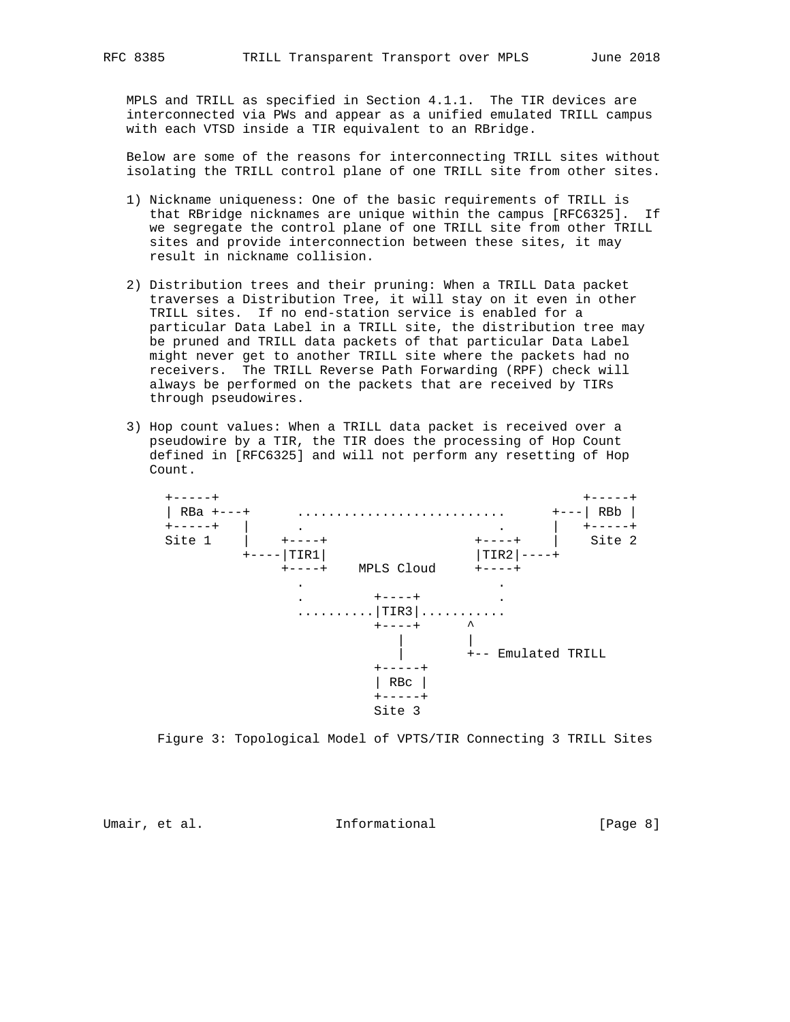MPLS and TRILL as specified in Section 4.1.1. The TIR devices are interconnected via PWs and appear as a unified emulated TRILL campus with each VTSD inside a TIR equivalent to an RBridge.

 Below are some of the reasons for interconnecting TRILL sites without isolating the TRILL control plane of one TRILL site from other sites.

- 1) Nickname uniqueness: One of the basic requirements of TRILL is that RBridge nicknames are unique within the campus [RFC6325]. If we segregate the control plane of one TRILL site from other TRILL sites and provide interconnection between these sites, it may result in nickname collision.
- 2) Distribution trees and their pruning: When a TRILL Data packet traverses a Distribution Tree, it will stay on it even in other TRILL sites. If no end-station service is enabled for a particular Data Label in a TRILL site, the distribution tree may be pruned and TRILL data packets of that particular Data Label might never get to another TRILL site where the packets had no receivers. The TRILL Reverse Path Forwarding (RPF) check will always be performed on the packets that are received by TIRs through pseudowires.
- 3) Hop count values: When a TRILL data packet is received over a pseudowire by a TIR, the TIR does the processing of Hop Count defined in [RFC6325] and will not perform any resetting of Hop Count.



Figure 3: Topological Model of VPTS/TIR Connecting 3 TRILL Sites

Umair, et al. Informational [Page 8]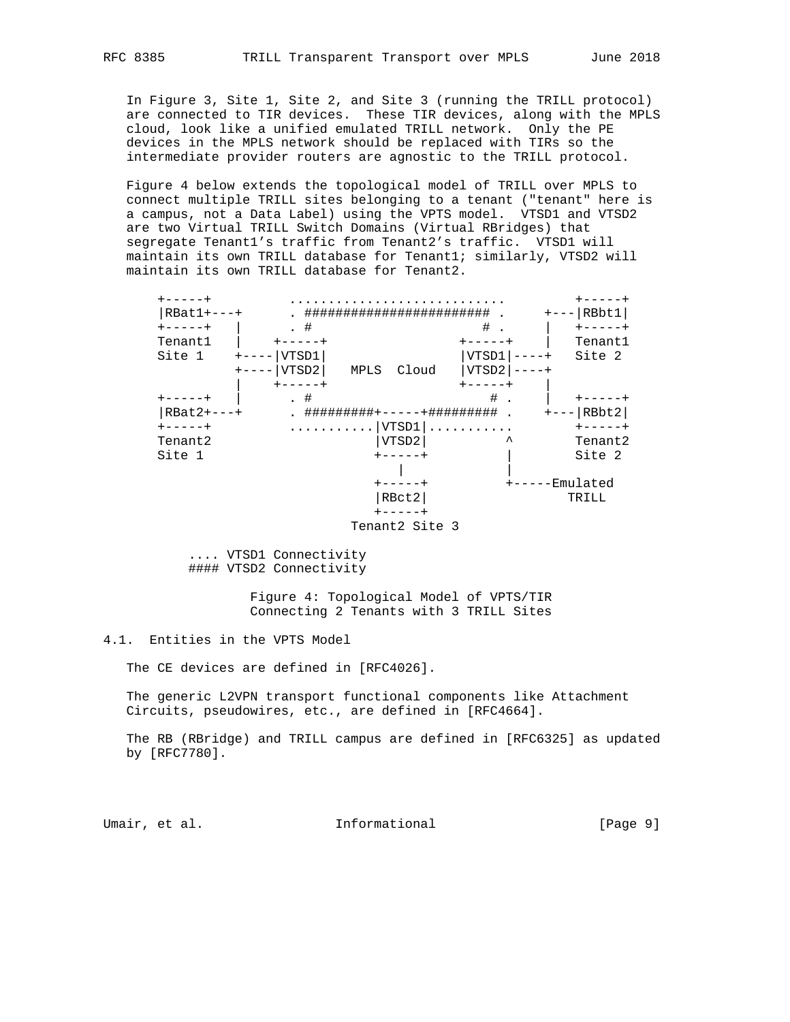In Figure 3, Site 1, Site 2, and Site 3 (running the TRILL protocol) are connected to TIR devices. These TIR devices, along with the MPLS cloud, look like a unified emulated TRILL network. Only the PE devices in the MPLS network should be replaced with TIRs so the intermediate provider routers are agnostic to the TRILL protocol.

 Figure 4 below extends the topological model of TRILL over MPLS to connect multiple TRILL sites belonging to a tenant ("tenant" here is a campus, not a Data Label) using the VPTS model. VTSD1 and VTSD2 are two Virtual TRILL Switch Domains (Virtual RBridges) that segregate Tenant1's traffic from Tenant2's traffic. VTSD1 will maintain its own TRILL database for Tenant1; similarly, VTSD2 will maintain its own TRILL database for Tenant2.

| $RBat1+$ |           |                |           | RBbt1     |
|----------|-----------|----------------|-----------|-----------|
|          | . #       |                | #         |           |
| Tenantl  |           |                |           | Tenant1   |
| Site 1   | VTSD1     |                | VTSD1     | Site 2    |
|          | VTSD2     | MPLS<br>Cloud  | VTSD2     |           |
|          |           |                |           |           |
|          | #         |                | #         |           |
| RBat2+   | ######### |                | +######## | RBbt2     |
| ----+    |           | VTSD1          |           |           |
| Tenant2  |           | VTSD2          | ᄉ         | Tenant2   |
| Site 1   |           |                |           | Site 2    |
|          |           |                |           |           |
|          |           |                |           | Emulated- |
|          |           | RBct2          |           | TRILL     |
|          |           |                |           |           |
|          |           | Tenant2 Site 3 |           |           |

 .... VTSD1 Connectivity #### VTSD2 Connectivity

> Figure 4: Topological Model of VPTS/TIR Connecting 2 Tenants with 3 TRILL Sites

4.1. Entities in the VPTS Model

The CE devices are defined in [RFC4026].

 The generic L2VPN transport functional components like Attachment Circuits, pseudowires, etc., are defined in [RFC4664].

 The RB (RBridge) and TRILL campus are defined in [RFC6325] as updated by [RFC7780].

Umair, et al. 100 mm informational [Page 9]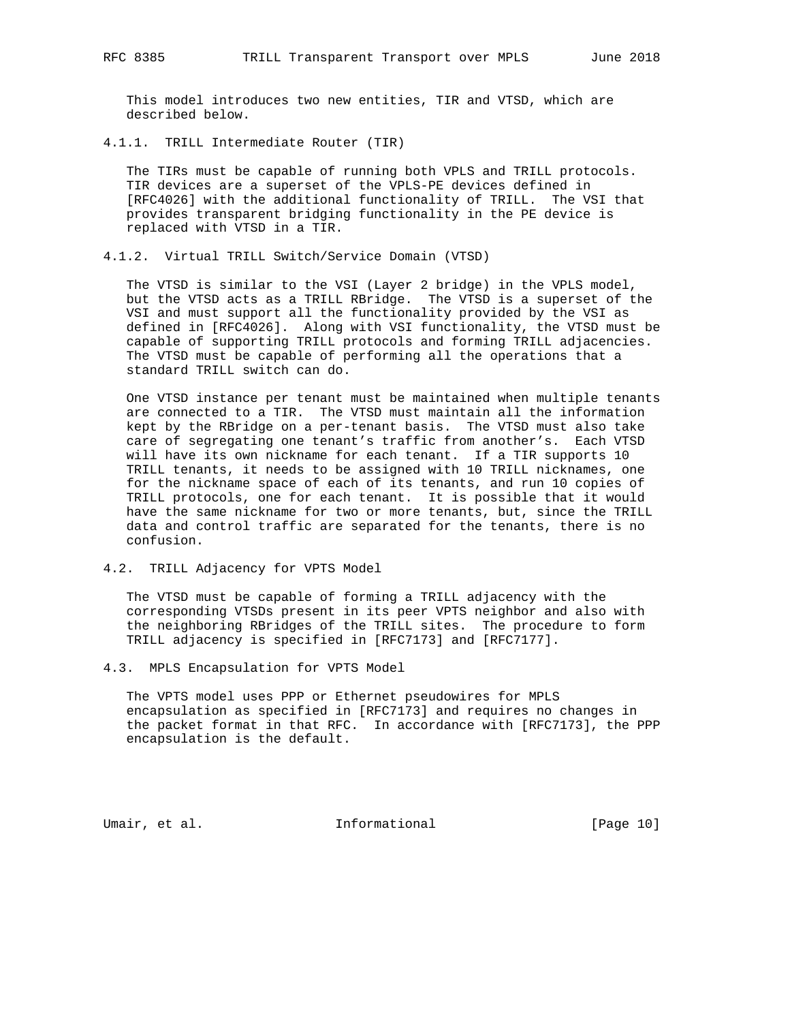This model introduces two new entities, TIR and VTSD, which are described below.

4.1.1. TRILL Intermediate Router (TIR)

 The TIRs must be capable of running both VPLS and TRILL protocols. TIR devices are a superset of the VPLS-PE devices defined in [RFC4026] with the additional functionality of TRILL. The VSI that provides transparent bridging functionality in the PE device is replaced with VTSD in a TIR.

4.1.2. Virtual TRILL Switch/Service Domain (VTSD)

 The VTSD is similar to the VSI (Layer 2 bridge) in the VPLS model, but the VTSD acts as a TRILL RBridge. The VTSD is a superset of the VSI and must support all the functionality provided by the VSI as defined in [RFC4026]. Along with VSI functionality, the VTSD must be capable of supporting TRILL protocols and forming TRILL adjacencies. The VTSD must be capable of performing all the operations that a standard TRILL switch can do.

 One VTSD instance per tenant must be maintained when multiple tenants are connected to a TIR. The VTSD must maintain all the information kept by the RBridge on a per-tenant basis. The VTSD must also take care of segregating one tenant's traffic from another's. Each VTSD will have its own nickname for each tenant. If a TIR supports 10 TRILL tenants, it needs to be assigned with 10 TRILL nicknames, one for the nickname space of each of its tenants, and run 10 copies of TRILL protocols, one for each tenant. It is possible that it would have the same nickname for two or more tenants, but, since the TRILL data and control traffic are separated for the tenants, there is no confusion.

4.2. TRILL Adjacency for VPTS Model

 The VTSD must be capable of forming a TRILL adjacency with the corresponding VTSDs present in its peer VPTS neighbor and also with the neighboring RBridges of the TRILL sites. The procedure to form TRILL adjacency is specified in [RFC7173] and [RFC7177].

4.3. MPLS Encapsulation for VPTS Model

 The VPTS model uses PPP or Ethernet pseudowires for MPLS encapsulation as specified in [RFC7173] and requires no changes in the packet format in that RFC. In accordance with [RFC7173], the PPP encapsulation is the default.

Umair, et al. 10 million all 11 million and 10 million all the set of the United States and Informational Informational (Page 10)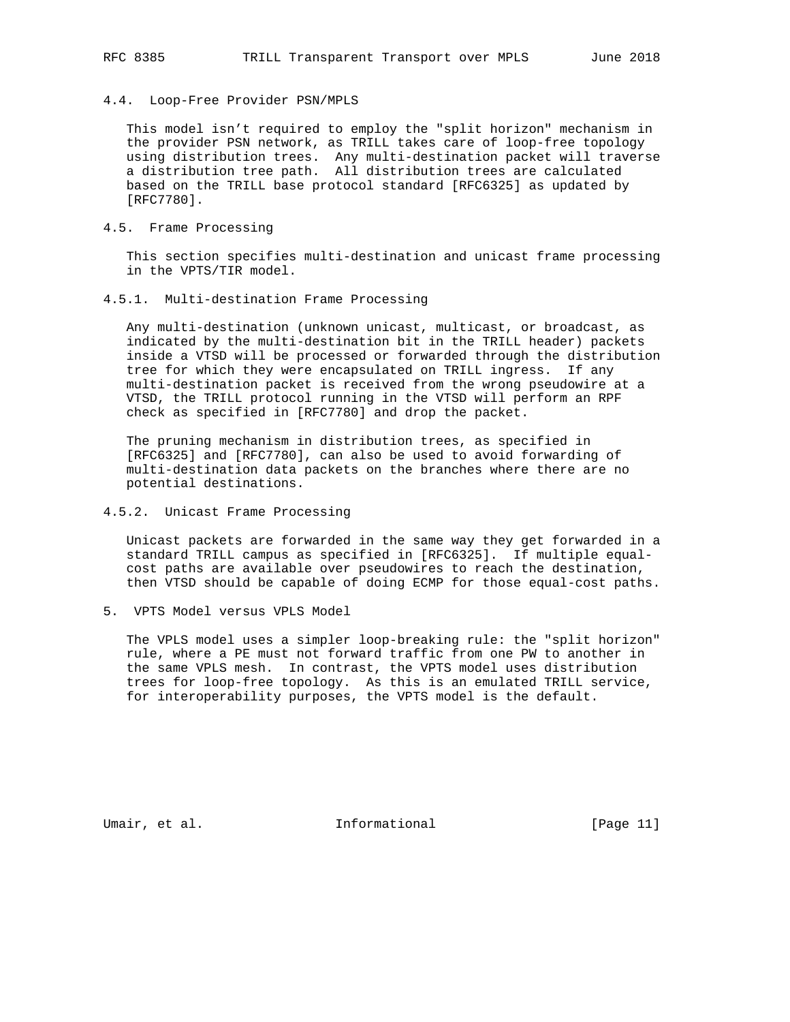4.4. Loop-Free Provider PSN/MPLS

 This model isn't required to employ the "split horizon" mechanism in the provider PSN network, as TRILL takes care of loop-free topology using distribution trees. Any multi-destination packet will traverse a distribution tree path. All distribution trees are calculated based on the TRILL base protocol standard [RFC6325] as updated by [RFC7780].

4.5. Frame Processing

 This section specifies multi-destination and unicast frame processing in the VPTS/TIR model.

4.5.1. Multi-destination Frame Processing

 Any multi-destination (unknown unicast, multicast, or broadcast, as indicated by the multi-destination bit in the TRILL header) packets inside a VTSD will be processed or forwarded through the distribution tree for which they were encapsulated on TRILL ingress. If any multi-destination packet is received from the wrong pseudowire at a VTSD, the TRILL protocol running in the VTSD will perform an RPF check as specified in [RFC7780] and drop the packet.

 The pruning mechanism in distribution trees, as specified in [RFC6325] and [RFC7780], can also be used to avoid forwarding of multi-destination data packets on the branches where there are no potential destinations.

4.5.2. Unicast Frame Processing

 Unicast packets are forwarded in the same way they get forwarded in a standard TRILL campus as specified in [RFC6325]. If multiple equal cost paths are available over pseudowires to reach the destination, then VTSD should be capable of doing ECMP for those equal-cost paths.

5. VPTS Model versus VPLS Model

 The VPLS model uses a simpler loop-breaking rule: the "split horizon" rule, where a PE must not forward traffic from one PW to another in the same VPLS mesh. In contrast, the VPTS model uses distribution trees for loop-free topology. As this is an emulated TRILL service, for interoperability purposes, the VPTS model is the default.

Umair, et al. 100 mm informational [Page 11]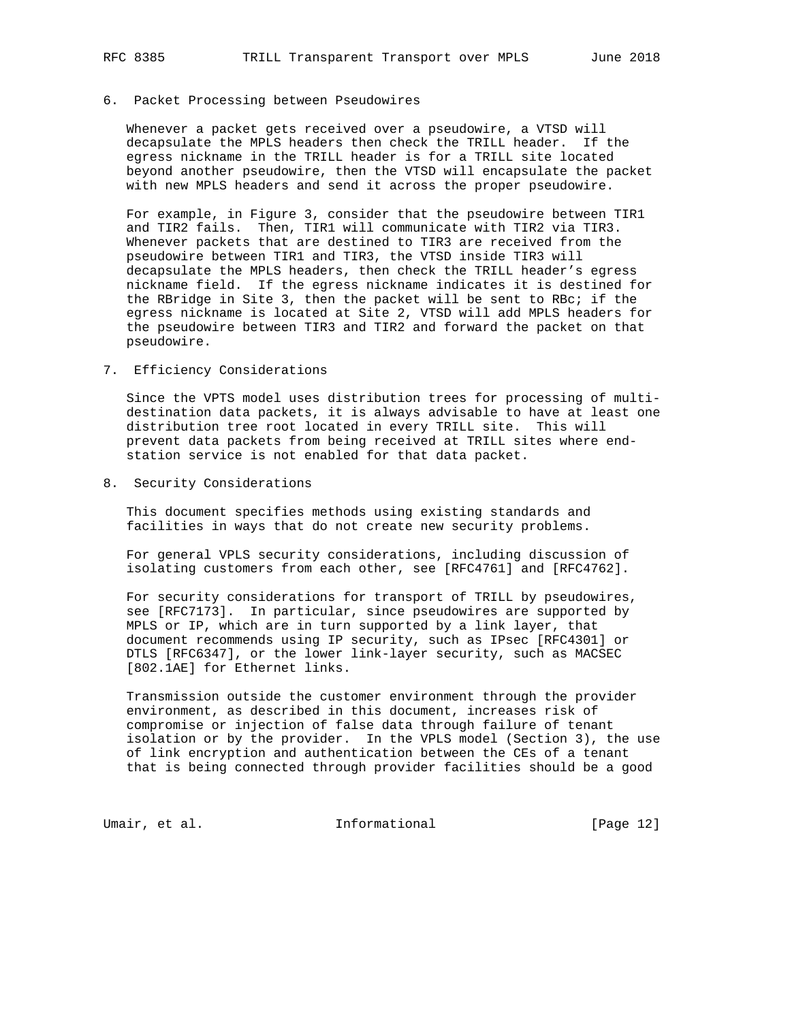#### 6. Packet Processing between Pseudowires

 Whenever a packet gets received over a pseudowire, a VTSD will decapsulate the MPLS headers then check the TRILL header. If the egress nickname in the TRILL header is for a TRILL site located beyond another pseudowire, then the VTSD will encapsulate the packet with new MPLS headers and send it across the proper pseudowire.

 For example, in Figure 3, consider that the pseudowire between TIR1 and TIR2 fails. Then, TIR1 will communicate with TIR2 via TIR3. Whenever packets that are destined to TIR3 are received from the pseudowire between TIR1 and TIR3, the VTSD inside TIR3 will decapsulate the MPLS headers, then check the TRILL header's egress nickname field. If the egress nickname indicates it is destined for the RBridge in Site 3, then the packet will be sent to RBc; if the egress nickname is located at Site 2, VTSD will add MPLS headers for the pseudowire between TIR3 and TIR2 and forward the packet on that pseudowire.

7. Efficiency Considerations

 Since the VPTS model uses distribution trees for processing of multi destination data packets, it is always advisable to have at least one distribution tree root located in every TRILL site. This will prevent data packets from being received at TRILL sites where end station service is not enabled for that data packet.

8. Security Considerations

 This document specifies methods using existing standards and facilities in ways that do not create new security problems.

 For general VPLS security considerations, including discussion of isolating customers from each other, see [RFC4761] and [RFC4762].

 For security considerations for transport of TRILL by pseudowires, see [RFC7173]. In particular, since pseudowires are supported by MPLS or IP, which are in turn supported by a link layer, that document recommends using IP security, such as IPsec [RFC4301] or DTLS [RFC6347], or the lower link-layer security, such as MACSEC [802.1AE] for Ethernet links.

 Transmission outside the customer environment through the provider environment, as described in this document, increases risk of compromise or injection of false data through failure of tenant isolation or by the provider. In the VPLS model (Section 3), the use of link encryption and authentication between the CEs of a tenant that is being connected through provider facilities should be a good

Umair, et al. 100 mm informational [Page 12]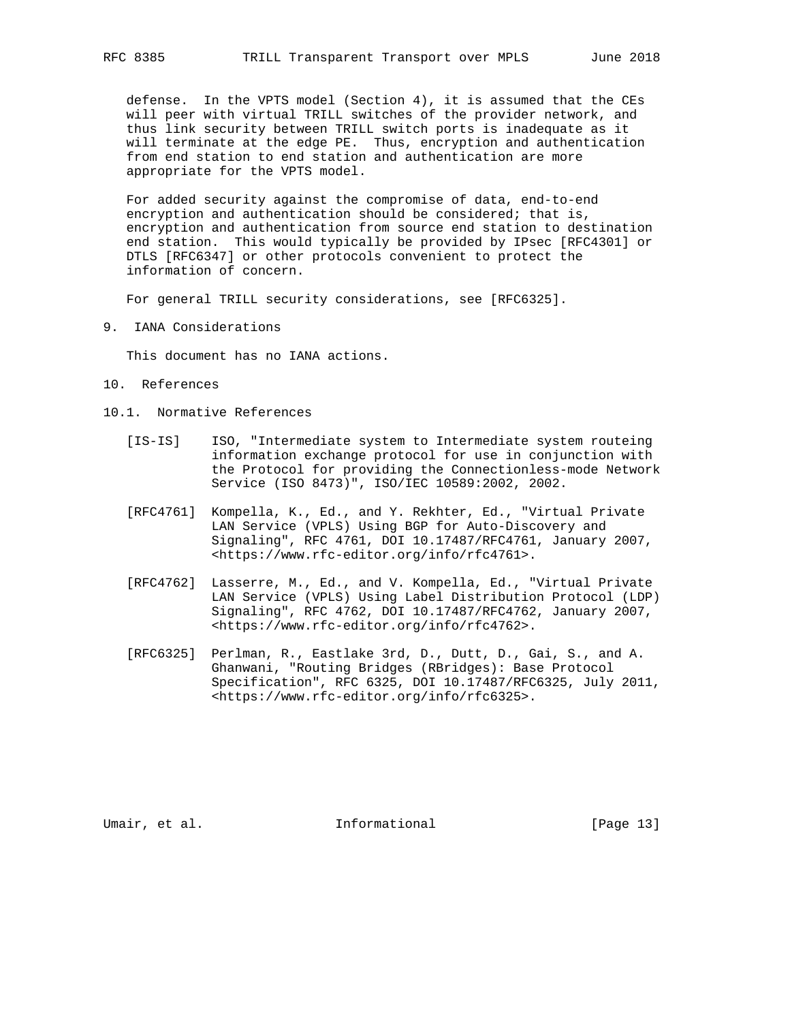defense. In the VPTS model (Section 4), it is assumed that the CEs will peer with virtual TRILL switches of the provider network, and thus link security between TRILL switch ports is inadequate as it will terminate at the edge PE. Thus, encryption and authentication from end station to end station and authentication are more appropriate for the VPTS model.

 For added security against the compromise of data, end-to-end encryption and authentication should be considered; that is, encryption and authentication from source end station to destination end station. This would typically be provided by IPsec [RFC4301] or DTLS [RFC6347] or other protocols convenient to protect the information of concern.

For general TRILL security considerations, see [RFC6325].

9. IANA Considerations

This document has no IANA actions.

- 10. References
- 10.1. Normative References
	- [IS-IS] ISO, "Intermediate system to Intermediate system routeing information exchange protocol for use in conjunction with the Protocol for providing the Connectionless-mode Network Service (ISO 8473)", ISO/IEC 10589:2002, 2002.
	- [RFC4761] Kompella, K., Ed., and Y. Rekhter, Ed., "Virtual Private LAN Service (VPLS) Using BGP for Auto-Discovery and Signaling", RFC 4761, DOI 10.17487/RFC4761, January 2007, <https://www.rfc-editor.org/info/rfc4761>.
	- [RFC4762] Lasserre, M., Ed., and V. Kompella, Ed., "Virtual Private LAN Service (VPLS) Using Label Distribution Protocol (LDP) Signaling", RFC 4762, DOI 10.17487/RFC4762, January 2007, <https://www.rfc-editor.org/info/rfc4762>.
	- [RFC6325] Perlman, R., Eastlake 3rd, D., Dutt, D., Gai, S., and A. Ghanwani, "Routing Bridges (RBridges): Base Protocol Specification", RFC 6325, DOI 10.17487/RFC6325, July 2011, <https://www.rfc-editor.org/info/rfc6325>.

Umair, et al. 100 mm informational [Page 13]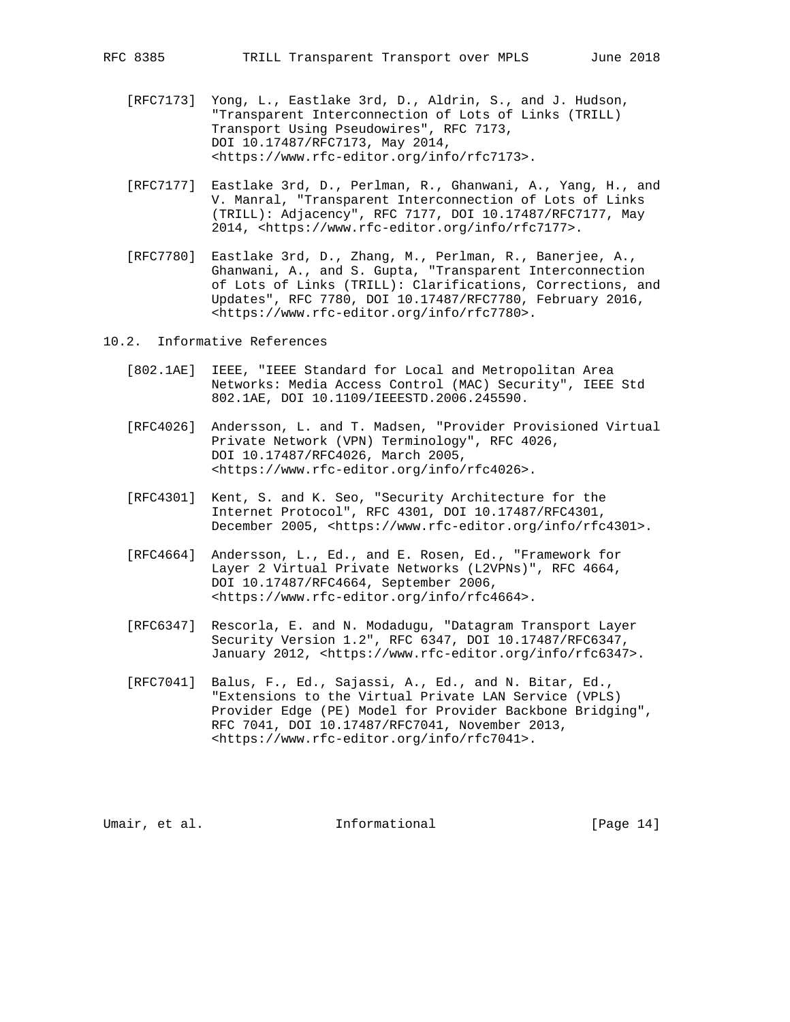- [RFC7173] Yong, L., Eastlake 3rd, D., Aldrin, S., and J. Hudson, "Transparent Interconnection of Lots of Links (TRILL) Transport Using Pseudowires", RFC 7173, DOI 10.17487/RFC7173, May 2014, <https://www.rfc-editor.org/info/rfc7173>.
- [RFC7177] Eastlake 3rd, D., Perlman, R., Ghanwani, A., Yang, H., and V. Manral, "Transparent Interconnection of Lots of Links (TRILL): Adjacency", RFC 7177, DOI 10.17487/RFC7177, May 2014, <https://www.rfc-editor.org/info/rfc7177>.
- [RFC7780] Eastlake 3rd, D., Zhang, M., Perlman, R., Banerjee, A., Ghanwani, A., and S. Gupta, "Transparent Interconnection of Lots of Links (TRILL): Clarifications, Corrections, and Updates", RFC 7780, DOI 10.17487/RFC7780, February 2016, <https://www.rfc-editor.org/info/rfc7780>.
- 10.2. Informative References
	- [802.1AE] IEEE, "IEEE Standard for Local and Metropolitan Area Networks: Media Access Control (MAC) Security", IEEE Std 802.1AE, DOI 10.1109/IEEESTD.2006.245590.
	- [RFC4026] Andersson, L. and T. Madsen, "Provider Provisioned Virtual Private Network (VPN) Terminology", RFC 4026, DOI 10.17487/RFC4026, March 2005, <https://www.rfc-editor.org/info/rfc4026>.
	- [RFC4301] Kent, S. and K. Seo, "Security Architecture for the Internet Protocol", RFC 4301, DOI 10.17487/RFC4301, December 2005, <https://www.rfc-editor.org/info/rfc4301>.
	- [RFC4664] Andersson, L., Ed., and E. Rosen, Ed., "Framework for Layer 2 Virtual Private Networks (L2VPNs)", RFC 4664, DOI 10.17487/RFC4664, September 2006, <https://www.rfc-editor.org/info/rfc4664>.
	- [RFC6347] Rescorla, E. and N. Modadugu, "Datagram Transport Layer Security Version 1.2", RFC 6347, DOI 10.17487/RFC6347, January 2012, <https://www.rfc-editor.org/info/rfc6347>.
	- [RFC7041] Balus, F., Ed., Sajassi, A., Ed., and N. Bitar, Ed., "Extensions to the Virtual Private LAN Service (VPLS) Provider Edge (PE) Model for Provider Backbone Bridging", RFC 7041, DOI 10.17487/RFC7041, November 2013, <https://www.rfc-editor.org/info/rfc7041>.

Umair, et al. 100 mm informational [Page 14]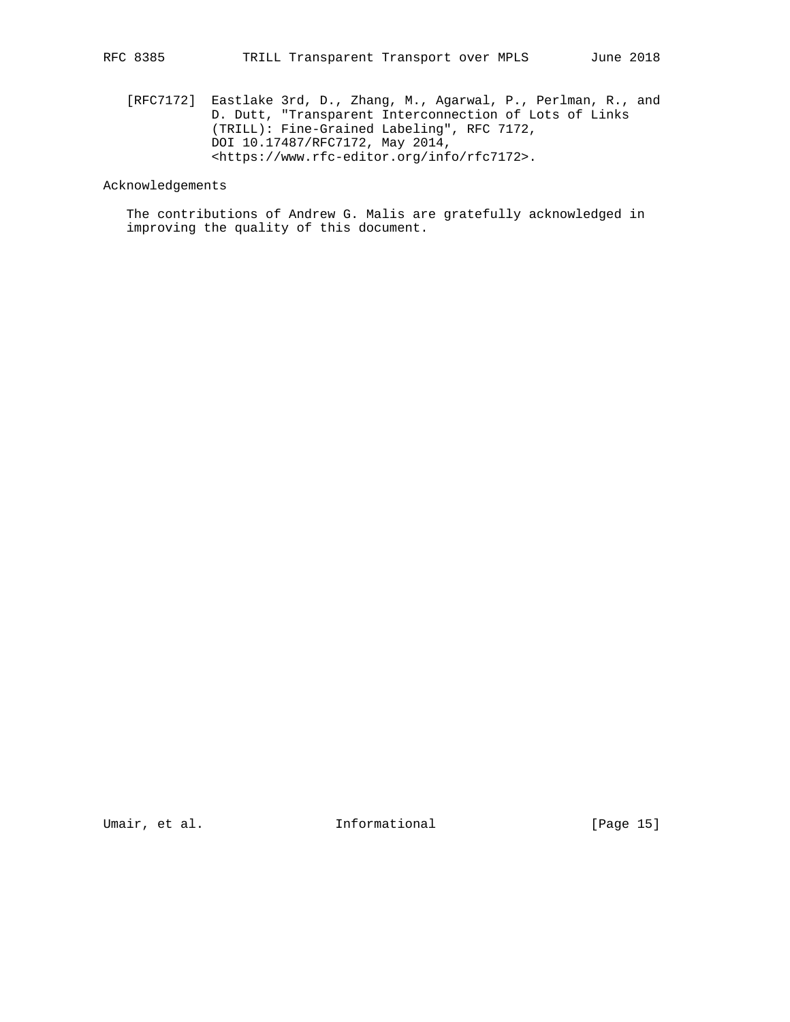[RFC7172] Eastlake 3rd, D., Zhang, M., Agarwal, P., Perlman, R., and D. Dutt, "Transparent Interconnection of Lots of Links (TRILL): Fine-Grained Labeling", RFC 7172, DOI 10.17487/RFC7172, May 2014, <https://www.rfc-editor.org/info/rfc7172>.

# Acknowledgements

 The contributions of Andrew G. Malis are gratefully acknowledged in improving the quality of this document.

Umair, et al. 100 millional 111 millional [Page 15]